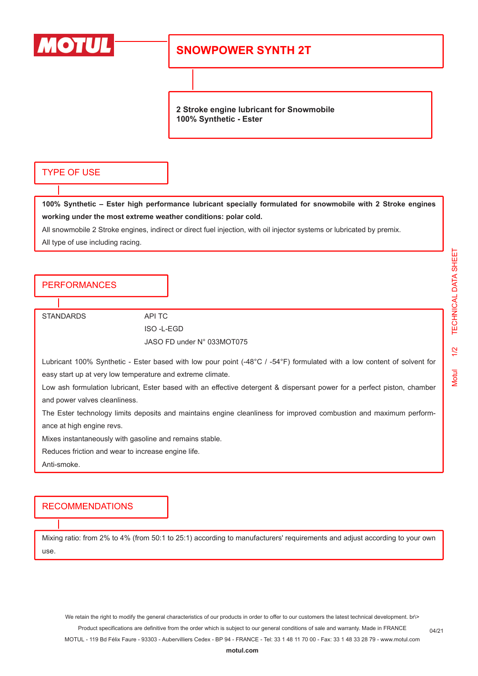

## **SNOWPOWER SYNTH 2T**

**2 Stroke engine lubricant for Snowmobile 100% Synthetic - Ester**

### TYPE OF USE

**100% Synthetic – Ester high performance lubricant specially formulated for snowmobile with 2 Stroke engines working under the most extreme weather conditions: polar cold.**

All snowmobile 2 Stroke engines, indirect or direct fuel injection, with oil injector systems or lubricated by premix.

All type of use including racing.

### **PERFORMANCES**

STANDARDS API TC

ISO -L-EGD JASO FD under N° 033MOT075

Lubricant 100% Synthetic - Ester based with low pour point (-48°C / -54°F) formulated with a low content of solvent for easy start up at very low temperature and extreme climate.

Low ash formulation lubricant, Ester based with an effective detergent & dispersant power for a perfect piston, chamber and power valves cleanliness.

The Ester technology limits deposits and maintains engine cleanliness for improved combustion and maximum performance at high engine revs.

Mixes instantaneously with gasoline and remains stable.

Reduces friction and wear to increase engine life.

Anti-smoke.

#### RECOMMENDATIONS

Mixing ratio: from 2% to 4% (from 50:1 to 25:1) according to manufacturers' requirements and adjust according to your own use.

04/21